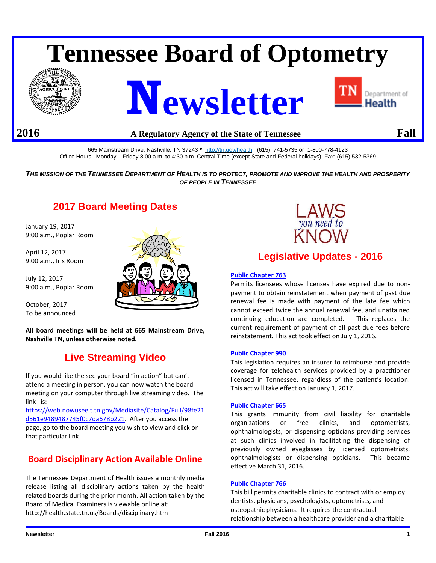# **Tennessee Board of Optometry**







## **2016 A Regulatory Agency of the State of Tennessee Fall**

665 Mainstream Drive, Nashville, TN 37243 • <http://tn.gov/health>(615) 741-5735 or 1-800-778-4123 Office Hours: Monday – Friday 8:00 a.m. to 4:30 p.m. Central Time (except State and Federal holidays) Fax: (615) 532-5369

*THE MISSION OF THE TENNESSEE DEPARTMENT OF HEALTH IS TO PROTECT, PROMOTE AND IMPROVE THE HEALTH AND PROSPERITY OF PEOPLE IN TENNESSEE*

# **2017 Board Meeting Dates**

January 19, 2017 9:00 a.m., Poplar Room

April 12, 2017 9:00 a.m., Iris Room

July 12, 2017 9:00 a.m., Poplar Room

October, 2017 To be announced

**All board meetings will be held at 665 Mainstream Drive, Nashville TN, unless otherwise noted.**

# **Live Streaming Video**

If you would like the see your board "in action" but can't attend a meeting in person, you can now watch the board meeting on your computer through live streaming video. The link is:

[https://web.nowuseeit.tn.gov/Mediasite/Catalog/Full/98fe21](https://web.nowuseeit.tn.gov/Mediasite/Catalog/Full/98fe21d561e9489487745f0c7da678b221) [d561e9489487745f0c7da678b221.](https://web.nowuseeit.tn.gov/Mediasite/Catalog/Full/98fe21d561e9489487745f0c7da678b221) After you access the page, go to the board meeting you wish to view and click on that particular link.

## **Board Disciplinary Action Available Online**

The Tennessee Department of Health issues a monthly media release listing all disciplinary actions taken by the health related boards during the prior month. All action taken by the Board of Medical Examiners is viewable online at: http://health.state.tn.us/Boards/disciplinary.htm





# **Legislative Updates - 2016**

#### **[Public Chapter 763](http://share.tn.gov/sos/acts/109/pub/pc0763.pdf)**

Permits licensees whose licenses have expired due to nonpayment to obtain reinstatement when payment of past due renewal fee is made with payment of the late fee which cannot exceed twice the annual renewal fee, and unattained continuing education are completed. This replaces the current requirement of payment of all past due fees before reinstatement. This act took effect on July 1, 2016.

#### **[Public Chapter 990](http://share.tn.gov/sos/acts/109/pub/pc0990.pdf)**

This legislation requires an insurer to reimburse and provide coverage for telehealth services provided by a practitioner licensed in Tennessee, regardless of the patient's location. This act will take effect on January 1, 2017.

#### **[Public Chapter 665](http://share.tn.gov/sos/acts/109/pub/pc0665.pdf)**

This grants immunity from civil liability for charitable organizations or free clinics, and optometrists, ophthalmologists, or dispensing opticians providing services at such clinics involved in facilitating the dispensing of previously owned eyeglasses by licensed optometrists, ophthalmologists or dispensing opticians. This became effective March 31, 2016.

#### **Public [Chapter 766](http://share.tn.gov/sos/acts/109/pub/pc0766.pdf)**

This bill permits charitable clinics to contract with or employ dentists, physicians, psychologists, optometrists, and osteopathic physicians. It requires the contractual relationship between a healthcare provider and a charitable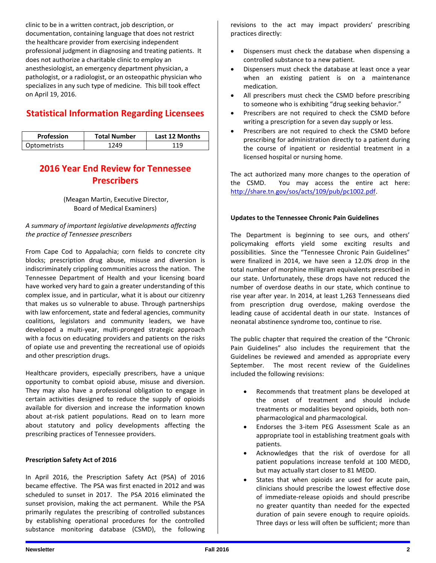clinic to be in a written contract, job description, or documentation, containing language that does not restrict the healthcare provider from exercising independent professional judgment in diagnosing and treating patients. It does not authorize a charitable clinic to employ an anesthesiologist, an emergency department physician, a pathologist, or a radiologist, or an osteopathic physician who specializes in any such type of medicine. This bill took effect on April 19, 2016.

## **Statistical Information Regarding Licensees**

| <b>Profession</b>   | <b>Total Number</b> | Last 12 Months |
|---------------------|---------------------|----------------|
| <b>Optometrists</b> | 249                 | 1 Q            |

# **2016 Year End Review for Tennessee Prescribers**

(Meagan Martin, Executive Director, Board of Medical Examiners)

#### *A summary of important legislative developments affecting the practice of Tennessee prescribers*

From Cape Cod to Appalachia; corn fields to concrete city blocks; prescription drug abuse, misuse and diversion is indiscriminately crippling communities across the nation. The Tennessee Department of Health and your licensing board have worked very hard to gain a greater understanding of this complex issue, and in particular, what it is about our citizenry that makes us so vulnerable to abuse. Through partnerships with law enforcement, state and federal agencies, community coalitions, legislators and community leaders, we have developed a multi-year, multi-pronged strategic approach with a focus on educating providers and patients on the risks of opiate use and preventing the recreational use of opioids and other prescription drugs.

Healthcare providers, especially prescribers, have a unique opportunity to combat opioid abuse, misuse and diversion. They may also have a professional obligation to engage in certain activities designed to reduce the supply of opioids available for diversion and increase the information known about at-risk patient populations. Read on to learn more about statutory and policy developments affecting the prescribing practices of Tennessee providers.

#### **Prescription Safety Act of 2016**

In April 2016, the Prescription Safety Act (PSA) of 2016 became effective. The PSA was first enacted in 2012 and was scheduled to sunset in 2017. The PSA 2016 eliminated the sunset provision, making the act permanent. While the PSA primarily regulates the prescribing of controlled substances by establishing operational procedures for the controlled substance monitoring database (CSMD), the following revisions to the act may impact providers' prescribing practices directly:

- Dispensers must check the database when dispensing a controlled substance to a new patient.
- Dispensers must check the database at least once a year when an existing patient is on a maintenance medication.
- All prescribers must check the CSMD before prescribing to someone who is exhibiting "drug seeking behavior."
- Prescribers are not required to check the CSMD before writing a prescription for a seven day supply or less.
- Prescribers are not required to check the CSMD before prescribing for administration directly to a patient during the course of inpatient or residential treatment in a licensed hospital or nursing home.

The act authorized many more changes to the operation of the CSMD. You may access the entire act here: [http://share.tn.gov/sos/acts/109/pub/pc1002.pdf.](http://share.tn.gov/sos/acts/109/pub/pc1002.pdf)

#### **Updates to the Tennessee Chronic Pain Guidelines**

The Department is beginning to see ours, and others' policymaking efforts yield some exciting results and possibilities. Since the "Tennessee Chronic Pain Guidelines" were finalized in 2014, we have seen a 12.0% drop in the total number of morphine milligram equivalents prescribed in our state. Unfortunately, these drops have not reduced the number of overdose deaths in our state, which continue to rise year after year. In 2014, at least 1,263 Tennesseans died from prescription drug overdose, making overdose the leading cause of accidental death in our state. Instances of neonatal abstinence syndrome too, continue to rise.

The public chapter that required the creation of the "Chronic Pain Guidelines" also includes the requirement that the Guidelines be reviewed and amended as appropriate every September. The most recent review of the Guidelines included the following revisions:

- Recommends that treatment plans be developed at the onset of treatment and should include treatments or modalities beyond opioids, both nonpharmacological and pharmacological.
- Endorses the 3-item PEG Assessment Scale as an appropriate tool in establishing treatment goals with patients.
- Acknowledges that the risk of overdose for all patient populations increase tenfold at 100 MEDD, but may actually start closer to 81 MEDD.
- States that when opioids are used for acute pain, clinicians should prescribe the lowest effective dose of immediate-release opioids and should prescribe no greater quantity than needed for the expected duration of pain severe enough to require opioids. Three days or less will often be sufficient; more than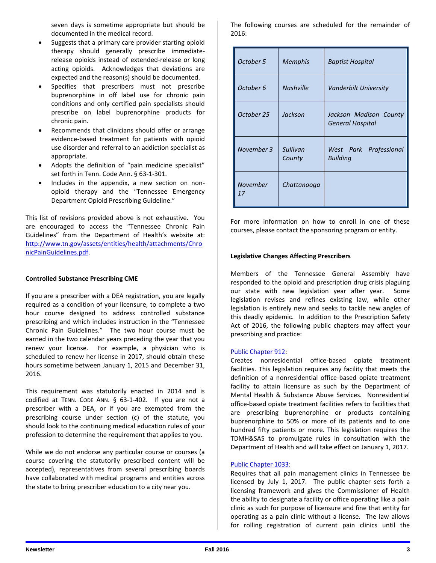seven days is sometime appropriate but should be documented in the medical record.

- Suggests that a primary care provider starting opioid therapy should generally prescribe immediaterelease opioids instead of extended-release or long acting opioids. Acknowledges that deviations are expected and the reason(s) should be documented.
- Specifies that prescribers must not prescribe buprenorphine in off label use for chronic pain conditions and only certified pain specialists should prescribe on label buprenorphine products for chronic pain.
- Recommends that clinicians should offer or arrange evidence-based treatment for patients with opioid use disorder and referral to an addiction specialist as appropriate.
- Adopts the definition of "pain medicine specialist" set forth in Tenn. Code Ann. § 63-1-301.
- Includes in the appendix, a new section on nonopioid therapy and the "Tennessee Emergency Department Opioid Prescribing Guideline."

This list of revisions provided above is not exhaustive. You are encouraged to access the "Tennessee Chronic Pain Guidelines" from the Department of Health's website at: [http://www.tn.gov/assets/entities/health/attachments/Chro](http://www.tn.gov/assets/entities/health/attachments/ChronicPainGuidelines.pdf) [nicPainGuidelines.pdf.](http://www.tn.gov/assets/entities/health/attachments/ChronicPainGuidelines.pdf)

#### **Controlled Substance Prescribing CME**

If you are a prescriber with a DEA registration, you are legally required as a condition of your licensure, to complete a two hour course designed to address controlled substance prescribing and which includes instruction in the "Tennessee Chronic Pain Guidelines." The two hour course must be earned in the two calendar years preceding the year that you renew your license. For example, a physician who is scheduled to renew her license in 2017, should obtain these hours sometime between January 1, 2015 and December 31, 2016.

This requirement was statutorily enacted in 2014 and is codified at TENN. CODE ANN. § 63-1-402. If you are not a prescriber with a DEA, or if you are exempted from the prescribing course under section (c) of the statute, you should look to the continuing medical education rules of your profession to determine the requirement that applies to you.

While we do not endorse any particular course or courses (a course covering the statutorily prescribed content will be accepted), representatives from several prescribing boards have collaborated with medical programs and entities across the state to bring prescriber education to a city near you.

The following courses are scheduled for the remainder of 2016:

| October 5      | <b>Memphis</b>     | Baptist Hospital                           |
|----------------|--------------------|--------------------------------------------|
| October 6      | <b>Nashville</b>   | Vanderbilt University                      |
| October 25     | Jackson            | Jackson Madison County<br>General Hospital |
| November 3     | Sullivan<br>County | West Park Professional<br>Building         |
| November<br>17 | Chattanooga        |                                            |

For more information on how to enroll in one of these courses, please contact the sponsoring program or entity.

#### **Legislative Changes Affecting Prescribers**

Members of the Tennessee General Assembly have responded to the opioid and prescription drug crisis plaguing our state with new legislation year after year. Some legislation revises and refines existing law, while other legislation is entirely new and seeks to tackle new angles of this deadly epidemic. In addition to the Prescription Safety Act of 2016, the following public chapters may affect your prescribing and practice:

#### [Public Chapter 912:](http://share.tn.gov/sos/acts/109/pub/pc0912.pdf)

Creates nonresidential office-based opiate treatment facilities. This legislation requires any facility that meets the definition of a nonresidential office-based opiate treatment facility to attain licensure as such by the Department of Mental Health & Substance Abuse Services. Nonresidential office-based opiate treatment facilities refers to facilities that are prescribing buprenorphine or products containing buprenorphine to 50% or more of its patients and to one hundred fifty patients or more. This legislation requires the TDMH&SAS to promulgate rules in consultation with the Department of Health and will take effect on January 1, 2017.

#### [Public Chapter 1033:](http://share.tn.gov/sos/acts/109/pub/pc1033.pdf)

Requires that all pain management clinics in Tennessee be licensed by July 1, 2017. The public chapter sets forth a licensing framework and gives the Commissioner of Health the ability to designate a facility or office operating like a pain clinic as such for purpose of licensure and fine that entity for operating as a pain clinic without a license. The law allows for rolling registration of current pain clinics until the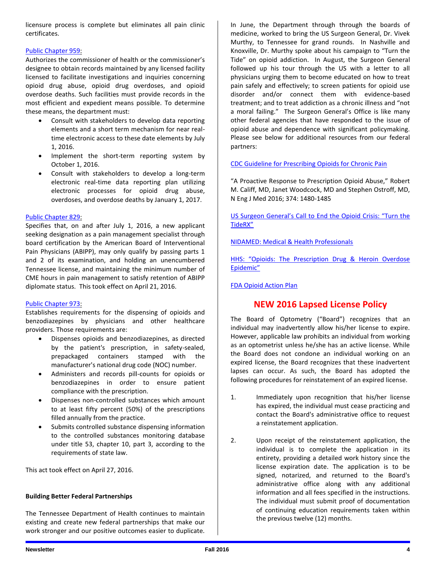licensure process is complete but eliminates all pain clinic certificates.

#### [Public Chapter 959:](http://share.tn.gov/sos/acts/109/pub/pc0959.pdf)

Authorizes the commissioner of health or the commissioner's designee to obtain records maintained by any licensed facility licensed to facilitate investigations and inquiries concerning opioid drug abuse, opioid drug overdoses, and opioid overdose deaths. Such facilities must provide records in the most efficient and expedient means possible. To determine these means, the department must:

- Consult with stakeholders to develop data reporting elements and a short term mechanism for near realtime electronic access to these date elements by July 1, 2016.
- Implement the short-term reporting system by October 1, 2016.
- Consult with stakeholders to develop a long-term electronic real-time data reporting plan utilizing electronic processes for opioid drug abuse, overdoses, and overdose deaths by January 1, 2017.

#### [Public Chapter 829:](http://share.tn.gov/sos/acts/109/pub/pc0829.pdf)

Specifies that, on and after July 1, 2016, a new applicant seeking designation as a pain management specialist through board certification by the American Board of Interventional Pain Physicians (ABIPP), may only qualify by passing parts 1 and 2 of its examination, and holding an unencumbered Tennessee license, and maintaining the minimum number of CME hours in pain management to satisfy retention of ABIPP diplomate status. This took effect on April 21, 2016.

#### [Public Chapter 973:](http://share.tn.gov/sos/acts/109/pub/pc0873.pdf)

Establishes requirements for the dispensing of opioids and benzodiazepines by physicians and other healthcare providers. Those requirements are:

- Dispenses opioids and benzodiazepines, as directed by the patient's prescription, in safety-sealed, prepackaged containers stamped with the manufacturer's national drug code (NOC) number.
- Administers and records pill-counts for opioids or benzodiazepines in order to ensure patient compliance with the prescription.
- Dispenses non-controlled substances which amount to at least fifty percent (50%) of the prescriptions filled annually from the practice.
- Submits controlled substance dispensing information to the controlled substances monitoring database under title 53, chapter 10, part 3, according to the requirements of state law.

This act took effect on April 27, 2016.

#### **Building Better Federal Partnerships**

The Tennessee Department of Health continues to maintain existing and create new federal partnerships that make our work stronger and our positive outcomes easier to duplicate. In June, the Department through through the boards of medicine, worked to bring the US Surgeon General, Dr. Vivek Murthy, to Tennessee for grand rounds. In Nashville and Knoxville, Dr. Murthy spoke about his campaign to "Turn the Tide" on opioid addiction. In August, the Surgeon General followed up his tour through the US with a letter to all physicians urging them to become educated on how to treat pain safely and effectively; to screen patients for opioid use disorder and/or connect them with evidence-based treatment; and to treat addiction as a chronic illness and "not a moral failing." The Surgeon General's Office is like many other federal agencies that have responded to the issue of opioid abuse and dependence with significant policymaking. Please see below for additional resources from our federal partners:

#### [CDC Guideline for Prescribing Opioids for Chronic Pain](https://www.cdc.gov/mmwr/volumes/65/rr/rr6501e1.htm)

"A Proactive Response to Prescription Opioid Abuse," Robert M. Califf, MD, Janet Woodcock, MD and Stephen Ostroff, MD, N Eng J Med 2016; 374: 1480-1485

[US Surgeon General's Call to End the Opioid Crisis: "Turn the](http://turnthetiderx.org/)  [TideRX"](http://turnthetiderx.org/)

[NIDAMED: Medical & Health Professionals](https://www.drugabuse.gov/nidamed-medical-health-professionals)

HHS: "Opioids: The Prescription Drug & Heroin Overdose [Epidemic"](http://www.hhs.gov/opioids/)

[FDA Opioid Action Plan](http://www.fda.gov/NewsEvents/Newsroom/FactSheets/ucm484714.htm)

## **NEW 2016 Lapsed License Policy**

The Board of Optometry ("Board") recognizes that an individual may inadvertently allow his/her license to expire. However, applicable law prohibits an individual from working as an optometrist unless he/she has an active license. While the Board does not condone an individual working on an expired license, the Board recognizes that these inadvertent lapses can occur. As such, the Board has adopted the following procedures for reinstatement of an expired license.

- 1. Immediately upon recognition that his/her license has expired, the individual must cease practicing and contact the Board's administrative office to request a reinstatement application.
- 2. Upon receipt of the reinstatement application, the individual is to complete the application in its entirety, providing a detailed work history since the license expiration date. The application is to be signed, notarized, and returned to the Board's administrative office along with any additional information and all fees specified in the instructions. The individual must submit proof of documentation of continuing education requirements taken within the previous twelve (12) months.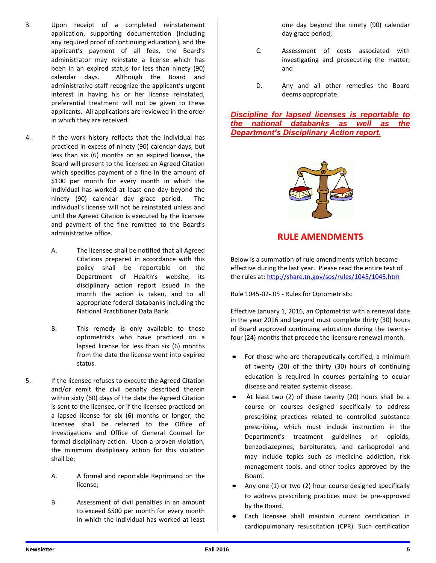- 3. Upon receipt of a completed reinstatement application, supporting documentation (including any required proof of continuing education), and the applicant's payment of all fees, the Board's administrator may reinstate a license which has been in an expired status for less than ninety (90) calendar days. Although the Board and administrative staff recognize the applicant's urgent interest in having his or her license reinstated, preferential treatment will not be given to these applicants. All applications are reviewed in the order in which they are received.
- 4. If the work history reflects that the individual has practiced in excess of ninety (90) calendar days, but less than six (6) months on an expired license, the Board will present to the licensee an Agreed Citation which specifies payment of a fine in the amount of \$100 per month for every month in which the individual has worked at least one day beyond the ninety (90) calendar day grace period. The individual's license will not be reinstated unless and until the Agreed Citation is executed by the licensee and payment of the fine remitted to the Board's administrative office.
	- A. The licensee shall be notified that all Agreed Citations prepared in accordance with this policy shall be reportable on the Department of Health's website, its disciplinary action report issued in the month the action is taken, and to all appropriate federal databanks including the National Practitioner Data Bank.
	- B. This remedy is only available to those optometrists who have practiced on a lapsed license for less than six (6) months from the date the license went into expired status.
- 5. If the licensee refuses to execute the Agreed Citation and/or remit the civil penalty described therein within sixty (60) days of the date the Agreed Citation is sent to the licensee, or if the licensee practiced on a lapsed license for six (6) months or longer, the licensee shall be referred to the Office of Investigations and Office of General Counsel for formal disciplinary action. Upon a proven violation, the minimum disciplinary action for this violation shall be:
	- A. A formal and reportable Reprimand on the license;
	- B. Assessment of civil penalties in an amount to exceed \$500 per month for every month in which the individual has worked at least

one day beyond the ninety (90) calendar day grace period;

- C. Assessment of costs associated with investigating and prosecuting the matter; and
- D. Any and all other remedies the Board deems appropriate.

*Discipline for lapsed licenses is reportable to the national databanks as well as the Department's Disciplinary Action report.*



## **RULE AMENDMENTS**

Below is a summation of rule amendments which became effective during the last year. Please read the entire text of the rules at:<http://share.tn.gov/sos/rules/1045/1045.htm>

Rule 1045-02-.05 - Rules for Optometrists:

Effective January 1, 2016, an Optometrist with a renewal date in the year 2016 and beyond must complete thirty (30) hours of Board approved continuing education during the twentyfour (24) months that precede the licensure renewal month.

- For those who are therapeutically certified, a minimum of twenty (20) of the thirty (30) hours of continuing education is required in courses pertaining to ocular disease and related systemic disease.
- At least two (2) of these twenty (20) hours shall be a course or courses designed specifically to address prescribing practices related to controlled substance prescribing, which must include instruction in the Department's treatment guidelines on opioids, benzodiazepines, barbiturates, and carisoprodol and may include topics such as medicine addiction, risk management tools, and other topics approved by the Board.
- Any one (1) or two (2) hour course designed specifically to address prescribing practices must be pre-approved by the Board.
- Each licensee shall maintain current certification in cardiopulmonary resuscitation (CPR). Such certification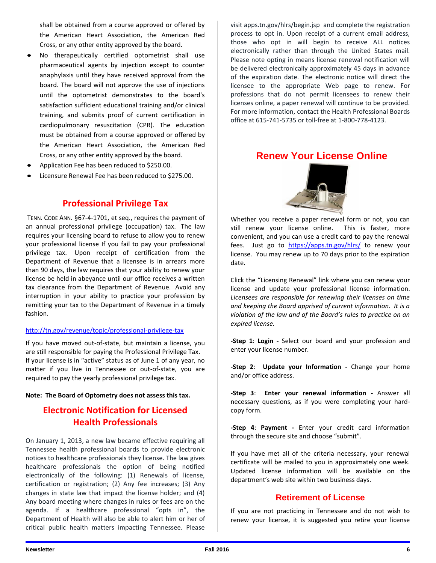shall be obtained from a course approved or offered by the American Heart Association, the American Red Cross, or any other entity approved by the board.

- No therapeutically certified optometrist shall use pharmaceutical agents by injection except to counter anaphylaxis until they have received approval from the board. The board will not approve the use of injections until the optometrist demonstrates to the board's satisfaction sufficient educational training and/or clinical training, and submits proof of current certification in cardiopulmonary resuscitation (CPR). The education must be obtained from a course approved or offered by the American Heart Association, the American Red Cross, or any other entity approved by the board.
- Application Fee has been reduced to \$250.00.
- Licensure Renewal Fee has been reduced to \$275.00.

## **Professional Privilege Tax**

TENN. CODE ANN. §67-4-1701, et seq., requires the payment of an annual professional privilege (occupation) tax. The law requires your licensing board to refuse to allow you to renew your professional license If you fail to pay your professional privilege tax. Upon receipt of certification from the Department of Revenue that a licensee is in arrears more than 90 days, the law requires that your ability to renew your license be held in abeyance until our office receives a written tax clearance from the Department of Revenue. Avoid any interruption in your ability to practice your profession by remitting your tax to the Department of Revenue in a timely fashion.

#### <http://tn.gov/revenue/topic/professional-privilege-tax>

If you have moved out-of-state, but maintain a license, you are still responsible for paying the Professional Privilege Tax. If your license is in "active" status as of June 1 of any year, no matter if you live in Tennessee or out-of-state, you are required to pay the yearly professional privilege tax.

#### **Note: The Board of Optometry does not assess this tax.**

# **Electronic Notification for Licensed Health Professionals**

On January 1, 2013, a new law became effective requiring all Tennessee health professional boards to provide electronic notices to healthcare professionals they license. The law gives healthcare professionals the option of being notified electronically of the following: (1) Renewals of license, certification or registration; (2) Any fee increases; (3) Any changes in state law that impact the license holder; and (4) Any board meeting where changes in rules or fees are on the agenda. If a healthcare professional "opts in", the Department of Health will also be able to alert him or her of critical public health matters impacting Tennessee. Please

visit apps.tn.gov/hlrs/begin.jsp and complete the registration process to opt in. Upon receipt of a current email address, those who opt in will begin to receive ALL notices electronically rather than through the United States mail. Please note opting in means license renewal notification will be delivered electronically approximately 45 days in advance of the expiration date. The electronic notice will direct the licensee to the appropriate Web page to renew. For professions that do not permit licensees to renew their licenses online, a paper renewal will continue to be provided. For more information, contact the Health Professional Boards office at 615-741-5735 or toll-free at 1-800-778-4123.

## **Renew Your License Online**



Whether you receive a paper renewal form or not, you can still renew your license online. This is faster, more convenient, and you can use a credit card to pay the renewal fees. Just go to <https://apps.tn.gov/hlrs/> to renew your license. You may renew up to 70 days prior to the expiration date.

Click the "Licensing Renewal" link where you can renew your license and update your professional license information. *Licensees are responsible for renewing their licenses on time and keeping the Board apprised of current information. It is a violation of the law and of the Board's rules to practice on an expired license.*

**-Step 1**: **Login -** Select our board and your profession and enter your license number.

**-Step 2**: **Update your Information -** Change your home and/or office address.

**-Step 3**: **Enter your renewal information -** Answer all necessary questions, as if you were completing your hardcopy form.

**-Step 4**: **Payment -** Enter your credit card information through the secure site and choose "submit".

If you have met all of the criteria necessary, your renewal certificate will be mailed to you in approximately one week. Updated license information will be available on the department's web site within two business days.

## **Retirement of License**

If you are not practicing in Tennessee and do not wish to renew your license, it is suggested you retire your license